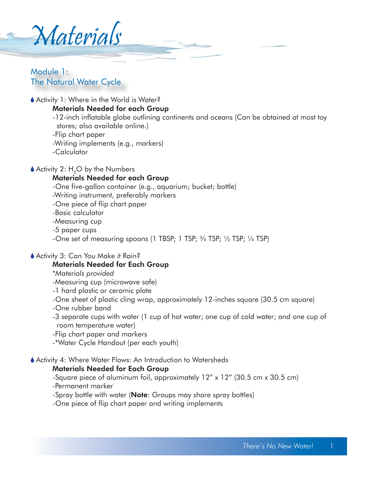Materials

# Module 1: The Natural Water Cycle

Activity 1: Where in the World is Water?

#### Materials Needed for each Group

 -12-inch inflatable globe outlining continents and oceans (Can be obtained at most toy stores; also available online.)

-Flip chart paper

-Writing implements (e.g., markers)

-Calculator

Activity 2:  $H<sub>a</sub>O$  by the Numbers

#### Materials Needed for each Group

-One five-gallon container (e.g., aquarium; bucket; bottle)

-Writing instrument, preferably markers

-One piece of flip chart paper

-Basic calculator

-Measuring cup

-5 paper cups

-One set of measuring spoons (1 TBSP; 1 TSP;  $\frac{3}{4}$  TSP;  $\frac{1}{2}$  TSP;  $\frac{1}{4}$  TSP)

#### ◆ Activity 3: Can You Make it Rain?

#### Materials Needed for Each Group

#### \**Materials provided*

-Measuring cup (microwave safe)

- -1 hard plastic or ceramic plate
- -One sheet of plastic cling wrap, approximately 12-inches square (30.5 cm square)
- -One rubber band
- -3 separate cups with water (1 cup of hot water; one cup of cold water; and one cup of room temperature water)
- -Flip chart paper and markers
- -\*Water Cycle Handout (per each youth)

#### Activity 4: Where Water Flows: An Introduction to Watersheds

#### Materials Needed for Each Group

-Square piece of aluminum foil, approximately 12" x 12" (30.5 cm x 30.5 cm) -Permanent marker

-Spray bottle with water (Note: Groups may share spray bottles)

-One piece of flip chart paper and writing implements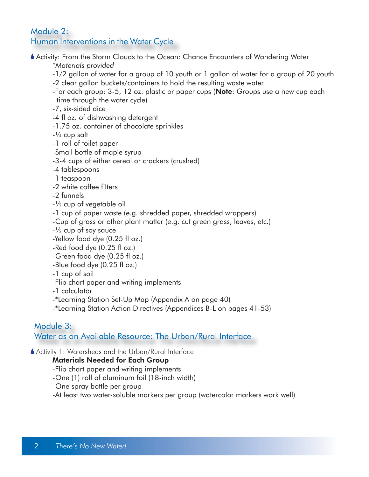# Module 2: Human Interventions in the Water Cycle

Activity: From the Storm Clouds to the Ocean: Chance Encounters of Wandering Water

 *\*Materials provided*

- -1/2 gallon of water for a group of 10 youth or 1 gallon of water for a group of 20 youth
- -2 clear gallon buckets/containers to hold the resulting waste water
- -For each group: 3-5, 12 oz. plastic or paper cups (**Note**: Groups use a new cup each time through the water cycle)

-7, six-sided dice

-4 fl oz. of dishwashing detergent

-1.75 oz. container of chocolate sprinkles

 $-1/4$  cup salt

-1 roll of toilet paper

-Small bottle of maple syrup

-3-4 cups of either cereal or crackers (crushed)

-4 tablespoons

-1 teaspoon

-2 white coffee filters

-2 funnels

-½ cup of vegetable oil

-1 cup of paper waste (e.g. shredded paper, shredded wrappers)

-Cup of grass or other plant matter (e.g. cut green grass, leaves, etc.)

 $-1/2$  cup of soy sauce

-Yellow food dye (0.25 fl oz.)

-Red food dye (0.25 fl oz.)

-Green food dye (0.25 fl oz.)

- -Blue food dye (0.25 fl oz.)
- -1 cup of soil
- -Flip chart paper and writing implements

-1 calculator

-\*Learning Station Set-Up Map (Appendix A on page 40)

-\*Learning Station Action Directives (Appendices B-L on pages 41-53)

# Module 3:

Water as an Available Resource: The Urban/Rural Interface

Activity 1: Watersheds and the Urban/Rural Interface

# Materials Needed for Each Group

- -Flip chart paper and writing implements
- -One (1) roll of aluminum foil (18-inch width)
- -One spray bottle per group

-At least two water-soluble markers per group (watercolor markers work well)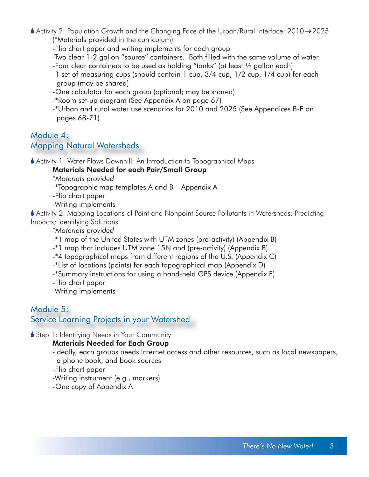$\triangle$  Activity 2: Population Growth and the Changing Face of the Urban/Rural Interface: 2010  $\rightarrow$  2025 (\*Materials provided in the curriculum)

-Flip chart paper and writing implements for each group

 -Two clear 1-2 gallon "source" containers. Both filled with the same volume of water -Four clear containers to be used as holding "tanks" (at least ½ gallon each)

- -1 set of measuring cups (should contain 1 cup, 3/4 cup, 1/2 cup, 1/4 cup) for each group (may be shared)
- -One calculator for each group (optional; may be shared)
- -\*Room set-up diagram (See Appendix A on page 67)
- -\*Urban and rural water use scenarios for 2010 and 2025 (See Appendices B-E on pages 68-71)

# Module 4: Mapping Natural Watersheds

Activity 1: Water Flows Downhill: An Introduction to Topographical Maps

Materials Needed for each Pair/Small Group

 *\*Materials provided*

-\*Topographic map templates A and B – Appendix A

-Flip chart paper

-Writing implements

 Activity 2: Mapping Locations of Point and Nonpoint Source Pollutants in Watersheds: Predicting Impacts; Identifying Solutions

 *\*Materials provided*

-\*1 map of the United States with UTM zones (pre-activity) (Appendix B)

-\*1 map that includes UTM zone 15N and (pre-activity) (Appendix B)

-\*4 topographical maps from different regions of the U.S. (Appendix C)

-\*List of locations (points) for each topographical map (Appendix D)

-\*Summary instructions for using a hand-held GPS device (Appendix E)

-Flip chart paper

-Writing implements

# Module 5: Service Learning Projects in your Watershed

Step 1: Identifying Needs in Your Community

# Materials Needed for Each Group

 -Ideally, each groups needs Internet access and other resources, such as local newspapers, a phone book, and book sources

-Flip chart paper

-Writing instrument (e.g., markers)

-One copy of Appendix A